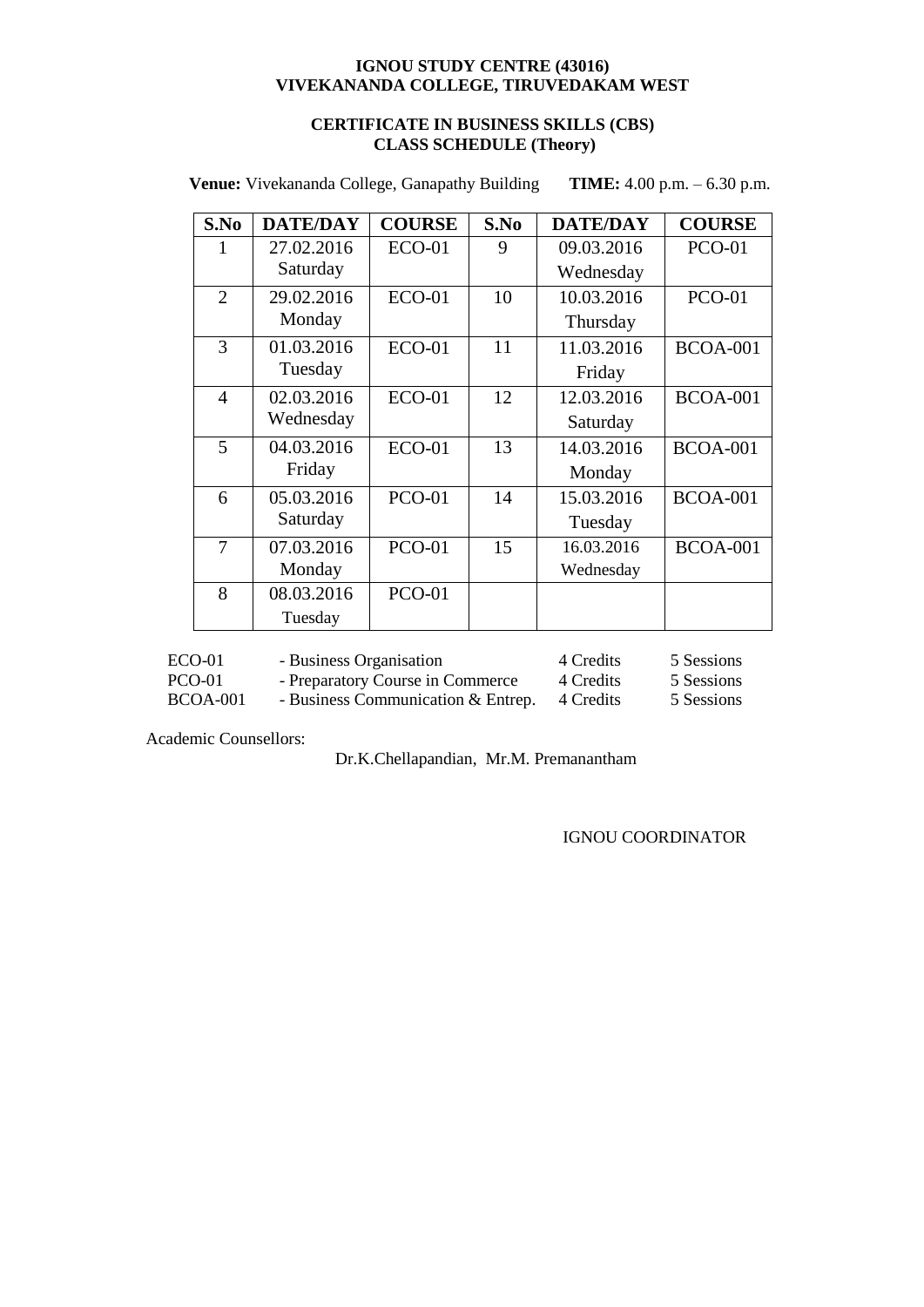## **CERTIFICATE IN BUSINESS SKILLS (CBS) CLASS SCHEDULE (Theory)**

**TIME:** 4.00 p.m.  $-6.30$  p.m. **Venue:** Vivekananda College, Ganapathy Building

| S.No           | <b>DATE/DAY</b> | <b>COURSE</b> | S.No | <b>DATE/DAY</b> | <b>COURSE</b>   |
|----------------|-----------------|---------------|------|-----------------|-----------------|
|                | 27.02.2016      | <b>ECO-01</b> | 9    | 09.03.2016      | <b>PCO-01</b>   |
|                | Saturday        |               |      | Wednesday       |                 |
| 2              | 29.02.2016      | $ECO-01$      | 10   | 10.03.2016      | <b>PCO-01</b>   |
|                | Monday          |               |      | Thursday        |                 |
| 3              | 01.03.2016      | $ECO-01$      | 11   | 11.03.2016      | <b>BCOA-001</b> |
|                | Tuesday         |               |      | Friday          |                 |
| $\overline{4}$ | 02.03.2016      | <b>ECO-01</b> | 12   | 12.03.2016      | <b>BCOA-001</b> |
|                | Wednesday       |               |      | Saturday        |                 |
| 5              | 04.03.2016      | <b>ECO-01</b> | 13   | 14.03.2016      | <b>BCOA-001</b> |
|                | Friday          |               |      | Monday          |                 |
| 6              | 05.03.2016      | <b>PCO-01</b> | 14   | 15.03.2016      | <b>BCOA-001</b> |
|                | Saturday        |               |      | Tuesday         |                 |
| 7              | 07.03.2016      | <b>PCO-01</b> | 15   | 16.03.2016      | <b>BCOA-001</b> |
|                | Monday          |               |      | Wednesday       |                 |
| 8              | 08.03.2016      | <b>PCO-01</b> |      |                 |                 |
|                | Tuesday         |               |      |                 |                 |

| ECO-01   | - Business Organisation            | 4 Credits | 5 Sessions |
|----------|------------------------------------|-----------|------------|
| PCO-01   | - Preparatory Course in Commerce   | 4 Credits | 5 Sessions |
| BCOA-001 | - Business Communication & Entrep. | 4 Credits | 5 Sessions |

Academic Counsellors:

Dr.K.Chellapandian, Mr.M. Premanantham

IGNOU COORDINATOR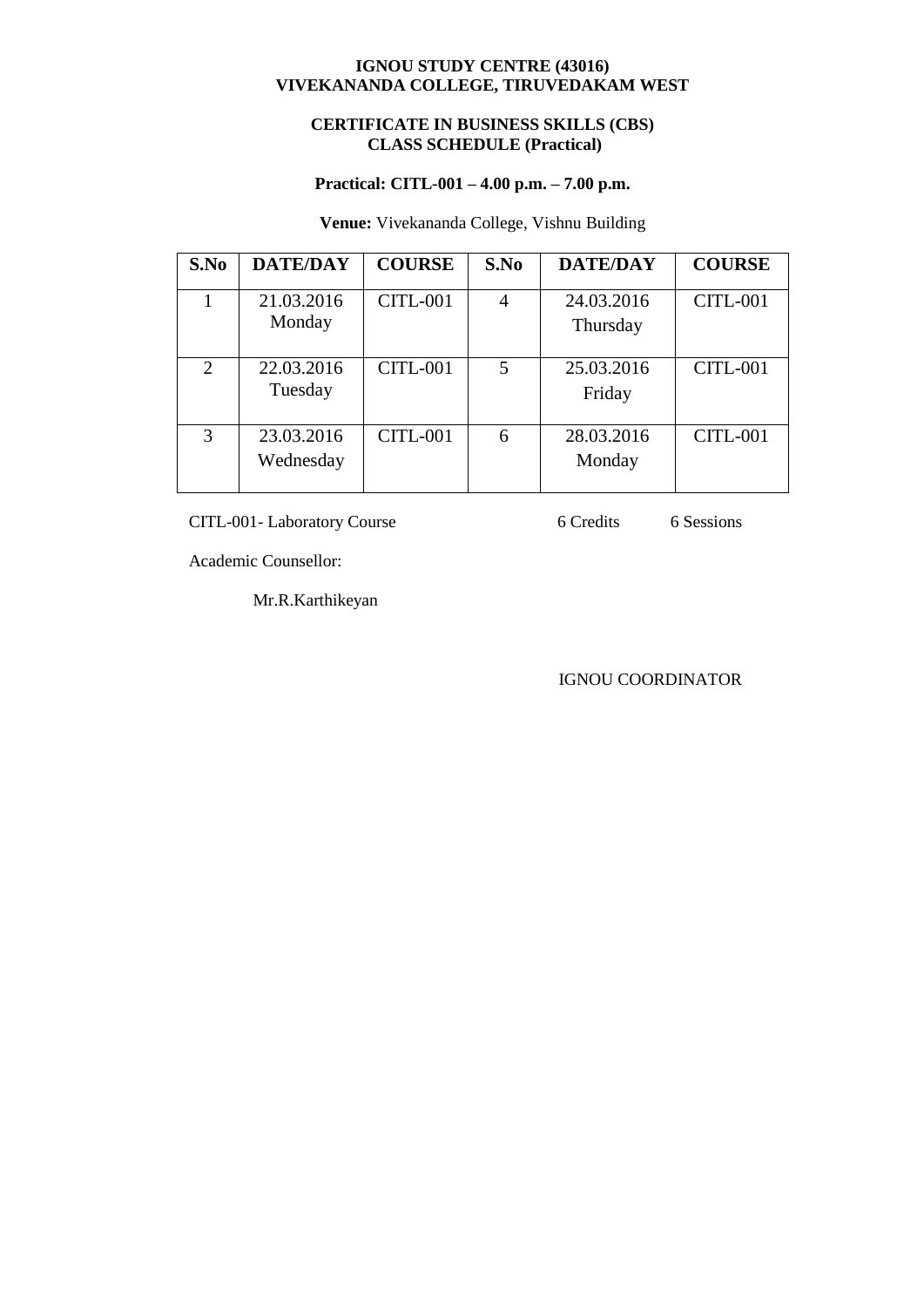## **CERTIFICATE IN BUSINESS SKILLS (CBS) CLASS SCHEDULE (Practical)**

## **Practical: CITL-001 – 4.00 p.m. – 7.00 p.m.**

## **Venue:** Vivekananda College, Vishnu Building

| S.No | <b>DATE/DAY</b>         | <b>COURSE</b>   | S.No           | <b>DATE/DAY</b>        | <b>COURSE</b>   |
|------|-------------------------|-----------------|----------------|------------------------|-----------------|
|      | 21.03.2016<br>Monday    | <b>CITL-001</b> | $\overline{4}$ | 24.03.2016<br>Thursday | <b>CITL-001</b> |
| 2    | 22.03.2016<br>Tuesday   | <b>CITL-001</b> | 5              | 25.03.2016<br>Friday   | <b>CITL-001</b> |
| 3    | 23.03.2016<br>Wednesday | <b>CITL-001</b> | 6              | 28.03.2016<br>Monday   | <b>CITL-001</b> |

CITL-001- Laboratory Course 6 Credits 6 Sessions

Academic Counsellor:

Mr.R.Karthikeyan

IGNOU COORDINATOR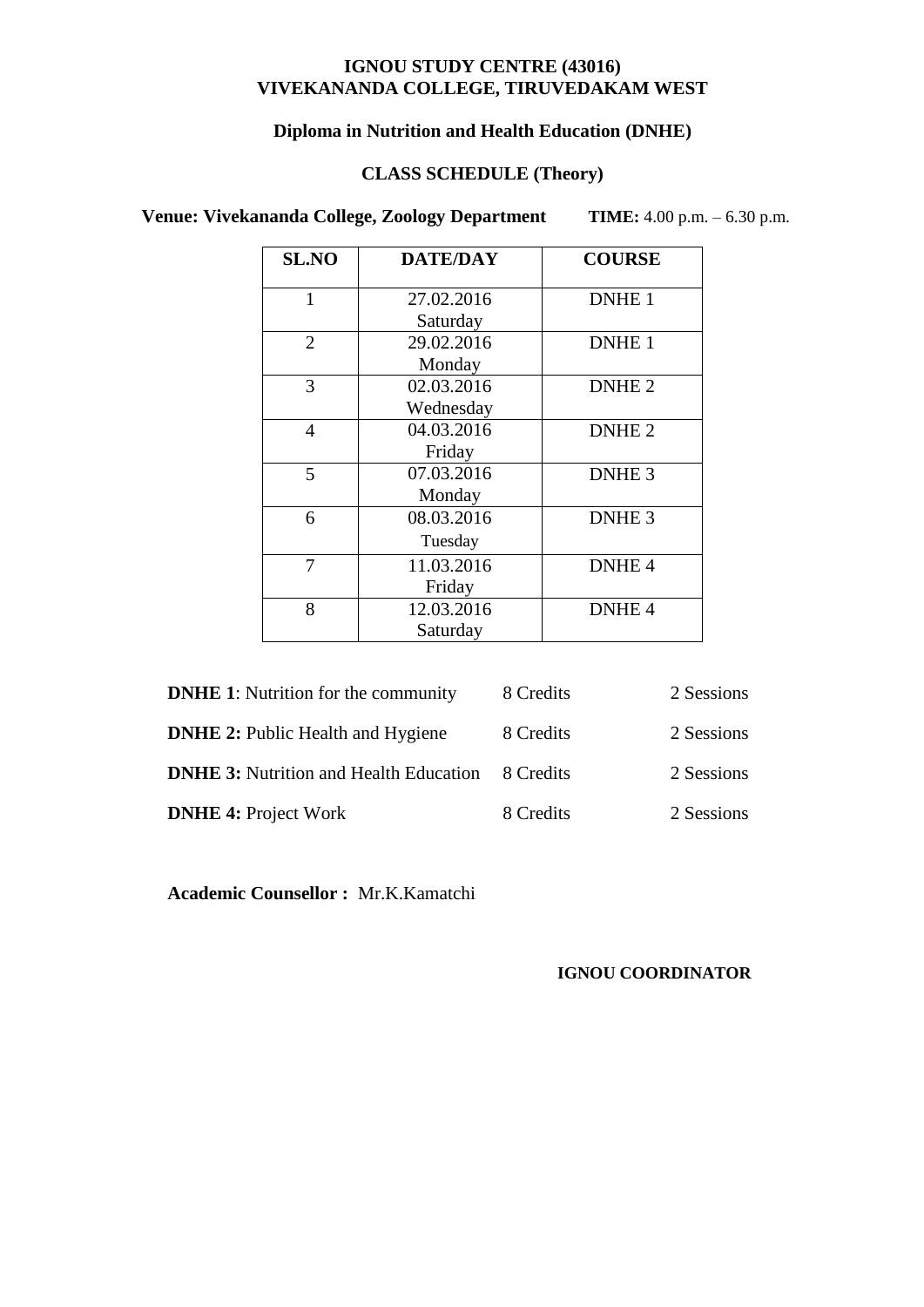## **Diploma in Nutrition and Health Education (DNHE)**

# **CLASS SCHEDULE (Theory)**

 **Venue: Vivekananda College, Zoology Department TIME:** 4.00 p.m. – 6.30 p.m.

| <b>SL.NO</b>   | <b>DATE/DAY</b> | <b>COURSE</b>     |
|----------------|-----------------|-------------------|
| $\mathbf{1}$   | 27.02.2016      | DNHE <sub>1</sub> |
|                | Saturday        |                   |
| $\overline{2}$ | 29.02.2016      | DNHE <sub>1</sub> |
|                | Monday          |                   |
| 3              | 02.03.2016      | DNHE <sub>2</sub> |
|                | Wednesday       |                   |
| 4              | 04.03.2016      | DNHE <sub>2</sub> |
|                | Friday          |                   |
| 5              | 07.03.2016      | DNHE <sub>3</sub> |
|                | Monday          |                   |
| 6              | 08.03.2016      | DNHE <sub>3</sub> |
|                | Tuesday         |                   |
| 7              | 11.03.2016      | DNHE <sub>4</sub> |
|                | Friday          |                   |
| 8              | 12.03.2016      | DNHE <sub>4</sub> |
|                | Saturday        |                   |

| <b>DNHE 1:</b> Nutrition for the community    | 8 Credits | 2 Sessions |
|-----------------------------------------------|-----------|------------|
| <b>DNHE 2:</b> Public Health and Hygiene      | 8 Credits | 2 Sessions |
| <b>DNHE 3:</b> Nutrition and Health Education | 8 Credits | 2 Sessions |
| <b>DNHE 4: Project Work</b>                   | 8 Credits | 2 Sessions |

**Academic Counsellor :** Mr.K.Kamatchi

## **IGNOU COORDINATOR**